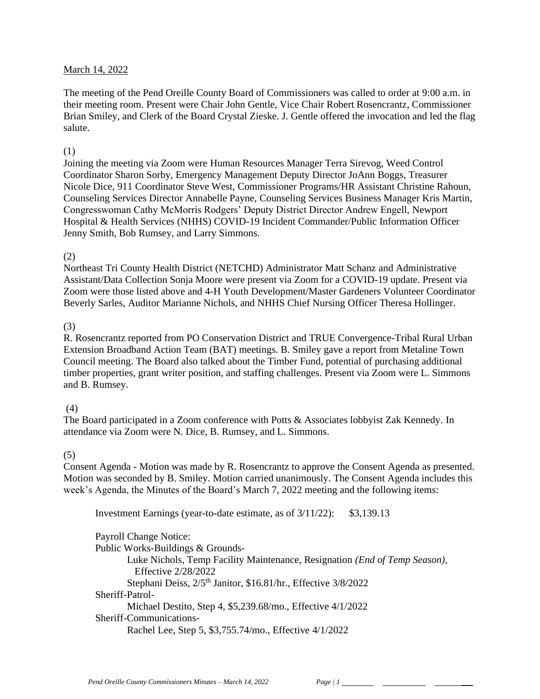#### March 14, 2022

The meeting of the Pend Oreille County Board of Commissioners was called to order at 9:00 a.m. in their meeting room. Present were Chair John Gentle, Vice Chair Robert Rosencrantz, Commissioner Brian Smiley, and Clerk of the Board Crystal Zieske. J. Gentle offered the invocation and led the flag salute.

#### (1)

Joining the meeting via Zoom were Human Resources Manager Terra Sirevog, Weed Control Coordinator Sharon Sorby, Emergency Management Deputy Director JoAnn Boggs, Treasurer Nicole Dice, 911 Coordinator Steve West, Commissioner Programs/HR Assistant Christine Rahoun, Counseling Services Director Annabelle Payne, Counseling Services Business Manager Kris Martin, Congresswoman Cathy McMorris Rodgers' Deputy District Director Andrew Engell, Newport Hospital & Health Services (NHHS) COVID-19 Incident Commander/Public Information Officer Jenny Smith, Bob Rumsey, and Larry Simmons.

#### (2)

Northeast Tri County Health District (NETCHD) Administrator Matt Schanz and Administrative Assistant/Data Collection Sonja Moore were present via Zoom for a COVID-19 update. Present via Zoom were those listed above and 4-H Youth Development/Master Gardeners Volunteer Coordinator Beverly Sarles, Auditor Marianne Nichols, and NHHS Chief Nursing Officer Theresa Hollinger.

#### (3)

R. Rosencrantz reported from PO Conservation District and TRUE Convergence-Tribal Rural Urban Extension Broadband Action Team (BAT) meetings. B. Smiley gave a report from Metaline Town Council meeting. The Board also talked about the Timber Fund, potential of purchasing additional timber properties, grant writer position, and staffing challenges. Present via Zoom were L. Simmons and B. Rumsey.

# (4)

The Board participated in a Zoom conference with Potts & Associates lobbyist Zak Kennedy. In attendance via Zoom were N. Dice, B. Rumsey, and L. Simmons.

#### (5)

Consent Agenda - Motion was made by R. Rosencrantz to approve the Consent Agenda as presented. Motion was seconded by B. Smiley. Motion carried unanimously. The Consent Agenda includes this week's Agenda, the Minutes of the Board's March 7, 2022 meeting and the following items:

Investment Earnings (year-to-date estimate, as of 3/11/22): \$3,139.13

Payroll Change Notice: Public Works-Buildings & Grounds-Luke Nichols, Temp Facility Maintenance, Resignation *(End of Temp Season)*, Effective 2/28/2022 Stephani Deiss,  $2/5$ <sup>th</sup> Janitor, \$16.81/hr., Effective 3/8/2022 Sheriff-Patrol-Michael Destito, Step 4, \$5,239.68/mo., Effective 4/1/2022 Sheriff-Communications-Rachel Lee, Step 5, \$3,755.74/mo., Effective 4/1/2022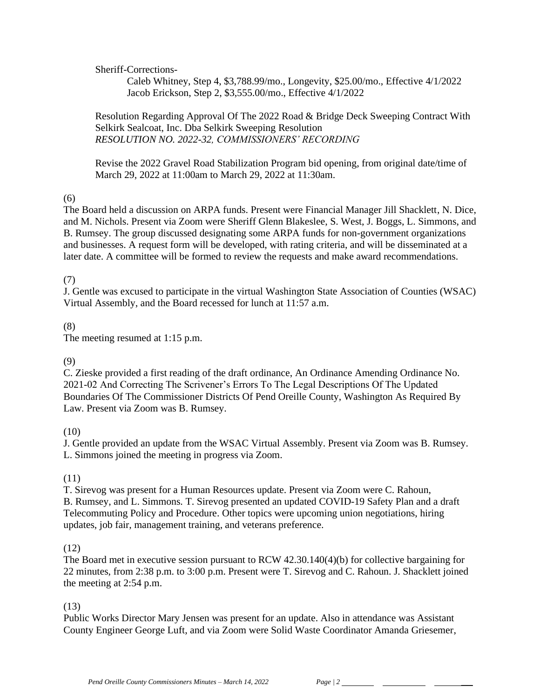Sheriff-Corrections-

Caleb Whitney, Step 4, \$3,788.99/mo., Longevity, \$25.00/mo., Effective 4/1/2022 Jacob Erickson, Step 2, \$3,555.00/mo., Effective 4/1/2022

Resolution Regarding Approval Of The 2022 Road & Bridge Deck Sweeping Contract With Selkirk Sealcoat, Inc. Dba Selkirk Sweeping Resolution *RESOLUTION NO. 2022-32, COMMISSIONERS' RECORDING* 

Revise the 2022 Gravel Road Stabilization Program bid opening, from original date/time of March 29, 2022 at 11:00am to March 29, 2022 at 11:30am.

(6)

The Board held a discussion on ARPA funds. Present were Financial Manager Jill Shacklett, N. Dice, and M. Nichols. Present via Zoom were Sheriff Glenn Blakeslee, S. West, J. Boggs, L. Simmons, and B. Rumsey. The group discussed designating some ARPA funds for non-government organizations and businesses. A request form will be developed, with rating criteria, and will be disseminated at a later date. A committee will be formed to review the requests and make award recommendations.

# (7)

J. Gentle was excused to participate in the virtual Washington State Association of Counties (WSAC) Virtual Assembly, and the Board recessed for lunch at 11:57 a.m.

# (8)

The meeting resumed at 1:15 p.m.

# (9)

C. Zieske provided a first reading of the draft ordinance, An Ordinance Amending Ordinance No. 2021-02 And Correcting The Scrivener's Errors To The Legal Descriptions Of The Updated Boundaries Of The Commissioner Districts Of Pend Oreille County, Washington As Required By Law. Present via Zoom was B. Rumsey.

# (10)

J. Gentle provided an update from the WSAC Virtual Assembly. Present via Zoom was B. Rumsey. L. Simmons joined the meeting in progress via Zoom.

# (11)

T. Sirevog was present for a Human Resources update. Present via Zoom were C. Rahoun, B. Rumsey, and L. Simmons. T. Sirevog presented an updated COVID-19 Safety Plan and a draft Telecommuting Policy and Procedure. Other topics were upcoming union negotiations, hiring updates, job fair, management training, and veterans preference.

# (12)

The Board met in executive session pursuant to RCW 42.30.140(4)(b) for collective bargaining for 22 minutes, from 2:38 p.m. to 3:00 p.m. Present were T. Sirevog and C. Rahoun. J. Shacklett joined the meeting at 2:54 p.m.

# (13)

Public Works Director Mary Jensen was present for an update. Also in attendance was Assistant County Engineer George Luft, and via Zoom were Solid Waste Coordinator Amanda Griesemer,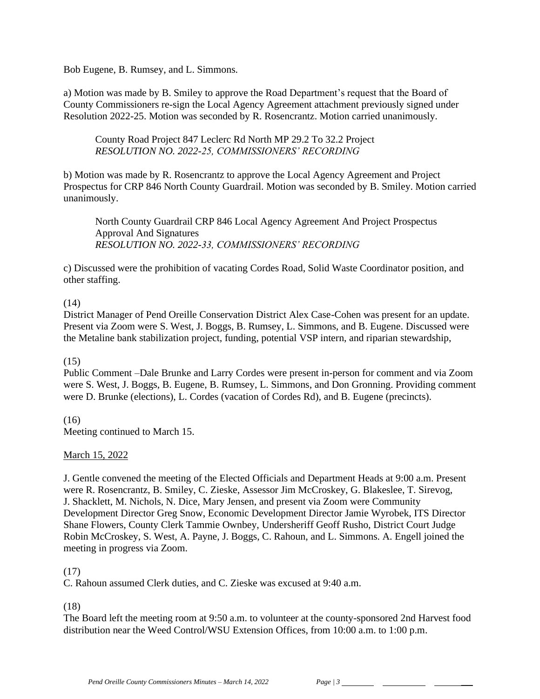Bob Eugene, B. Rumsey, and L. Simmons.

a) Motion was made by B. Smiley to approve the Road Department's request that the Board of County Commissioners re-sign the Local Agency Agreement attachment previously signed under Resolution 2022-25. Motion was seconded by R. Rosencrantz. Motion carried unanimously.

County Road Project 847 Leclerc Rd North MP 29.2 To 32.2 Project *RESOLUTION NO. 2022-25, COMMISSIONERS' RECORDING* 

b) Motion was made by R. Rosencrantz to approve the Local Agency Agreement and Project Prospectus for CRP 846 North County Guardrail. Motion was seconded by B. Smiley. Motion carried unanimously.

North County Guardrail CRP 846 Local Agency Agreement And Project Prospectus Approval And Signatures *RESOLUTION NO. 2022-33, COMMISSIONERS' RECORDING* 

c) Discussed were the prohibition of vacating Cordes Road, Solid Waste Coordinator position, and other staffing.

# (14)

District Manager of Pend Oreille Conservation District Alex Case-Cohen was present for an update. Present via Zoom were S. West, J. Boggs, B. Rumsey, L. Simmons, and B. Eugene. Discussed were the Metaline bank stabilization project, funding, potential VSP intern, and riparian stewardship,

#### (15)

Public Comment –Dale Brunke and Larry Cordes were present in-person for comment and via Zoom were S. West, J. Boggs, B. Eugene, B. Rumsey, L. Simmons, and Don Gronning. Providing comment were D. Brunke (elections), L. Cordes (vacation of Cordes Rd), and B. Eugene (precincts).

# (16)

Meeting continued to March 15.

# March 15, 2022

J. Gentle convened the meeting of the Elected Officials and Department Heads at 9:00 a.m. Present were R. Rosencrantz, B. Smiley, C. Zieske, Assessor Jim McCroskey, G. Blakeslee, T. Sirevog, J. Shacklett, M. Nichols, N. Dice, Mary Jensen, and present via Zoom were Community Development Director Greg Snow, Economic Development Director Jamie Wyrobek, ITS Director Shane Flowers, County Clerk Tammie Ownbey, Undersheriff Geoff Rusho, District Court Judge Robin McCroskey, S. West, A. Payne, J. Boggs, C. Rahoun, and L. Simmons. A. Engell joined the meeting in progress via Zoom.

# (17)

C. Rahoun assumed Clerk duties, and C. Zieske was excused at 9:40 a.m.

# (18)

The Board left the meeting room at 9:50 a.m. to volunteer at the county-sponsored 2nd Harvest food distribution near the Weed Control/WSU Extension Offices, from 10:00 a.m. to 1:00 p.m.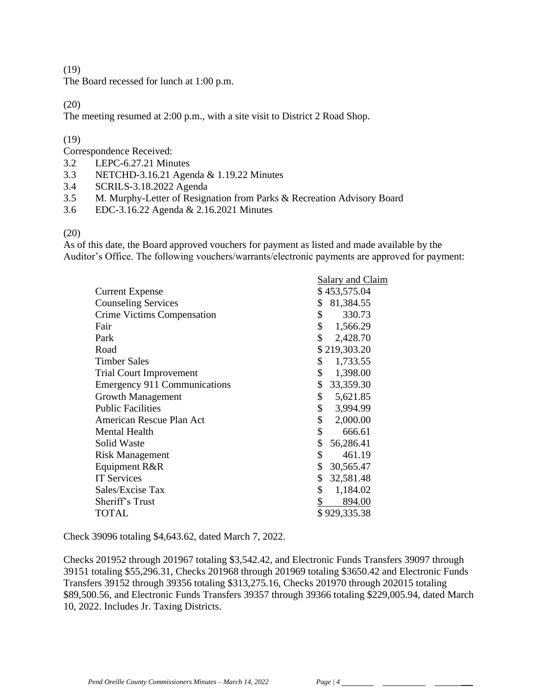(19)

The Board recessed for lunch at 1:00 p.m.

(20)

The meeting resumed at 2:00 p.m., with a site visit to District 2 Road Shop.

#### (19)

Correspondence Received:

- 3.2 LEPC-6.27.21 Minutes
- 3.3 NETCHD-3.16.21 Agenda & 1.19.22 Minutes
- 3.4 SCRILS-3.18.2022 Agenda
- 3.5 M. Murphy-Letter of Resignation from Parks & Recreation Advisory Board
- 3.6 EDC-3.16.22 Agenda & 2.16.2021 Minutes

#### (20)

As of this date, the Board approved vouchers for payment as listed and made available by the Auditor's Office. The following vouchers/warrants/electronic payments are approved for payment:

| \$              |                                               |
|-----------------|-----------------------------------------------|
| 330.73<br>\$    |                                               |
| \$<br>1,566.29  |                                               |
| \$<br>2,428.70  |                                               |
| \$219,303.20    |                                               |
| \$<br>1,733.55  |                                               |
| \$<br>1,398.00  |                                               |
| \$<br>33,359.30 |                                               |
| \$<br>5,621.85  |                                               |
| \$<br>3,994.99  |                                               |
| \$<br>2,000.00  |                                               |
| \$<br>666.61    |                                               |
| \$<br>56,286.41 |                                               |
| \$<br>461.19    |                                               |
| \$<br>30,565.47 |                                               |
| \$<br>32,581.48 |                                               |
| \$<br>1,184.02  |                                               |
| \$<br>894.00    |                                               |
| \$929,335.38    |                                               |
|                 | Salary and Claim<br>\$453,575.04<br>81,384.55 |

Check 39096 totaling \$4,643.62, dated March 7, 2022.

Checks 201952 through 201967 totaling \$3,542.42, and Electronic Funds Transfers 39097 through 39151 totaling \$55,296.31, Checks 201968 through 201969 totaling \$3650.42 and Electronic Funds Transfers 39152 through 39356 totaling \$313,275.16, Checks 201970 through 202015 totaling \$89,500.56, and Electronic Funds Transfers 39357 through 39366 totaling \$229,005.94, dated March 10, 2022. Includes Jr. Taxing Districts.